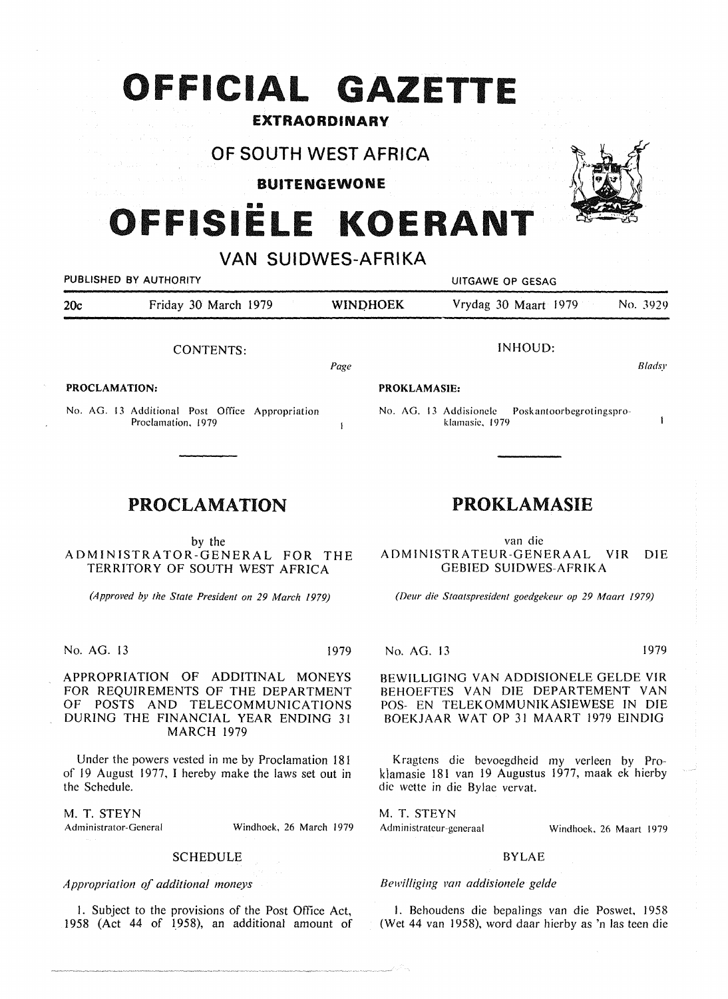## **OFFICIAL GAZETTE**

## **EXTRAORDINARY**

**OF SOUTH WEST AFRICA** 

**BUITENGEWONE** 

# **111111 FFISIELE KOERANT**

## **VAN SUIDWES-AFRIKA**

| PUBLISHED BY AUTHORITY |                      | UITGAWE OP GESAG    |                      |               |
|------------------------|----------------------|---------------------|----------------------|---------------|
| 20c                    | Friday 30 March 1979 | <b>WINDHOEK</b>     | Vrydag 30 Maart 1979 | No. 3929      |
|                        | CONTENTS:            |                     | INHOUD:              |               |
|                        |                      | Page                |                      | <b>Bladsy</b> |
| <b>PROCLAMATION:</b>   |                      | <b>PROKLAMASIE:</b> |                      |               |

No. AG. 13 Additional Post Office Appropriation Proclamation, 1979

## PROCLAMATION

by the ADMINISTRATOR-GENERAL FOR THE TERRITORY OF SOUTH WEST AFRICA

*(Approved* by *the State President on 29 March 1979)* 

No. AG. 13 1979

APPROPRIATION OF ADDITINAL MONEYS FOR REQUIREMENTS OF THE DEPARTMENT OF POSTS AND TELECOMMUNICATIONS DURING THE FINANCIAL YEAR ENDING 31 MARCH 1979

Under the powers vested in me by Proclamation 181 of 19 August 1977, I hereby make the laws set out in the Schedule.

M. T. STEYN

Administrator-General Windhoek, 26 March 1979

### SCHEDULE

*Appropriation of additional moneys* 

I. Subject to the provisions of the Post Office Act, 1958 (Act 44 of 1958), an additional amount of

## PROKLAMASIE

No. AG. 13 Addisionele Poskantoorbegrotingspro-

klamasie, 1979

van die ADMINISTRATEUR-GENERAAL VIR DIE GEBIED SUIDWES-AFRIKA

*(Deur die Staatspresident goedgekeur op 29 Maart /979)* 

No. AG. 13 1979

BEWILLIGING VAN ADDISIONELE GELDE VIR BEHOEFTES VAN DIE DEPARTEMENT VAN POS- EN TELEKOMMUNIKASIEWESE IN DIE BOEKJAAR WAT OP 31 MAART 1979 EINDIG

Kragtens die bevoegdheid my verleen by Proklamasie 181 van 19 Augustus 1977, maak ek hierby die wette in die Bylae vervat.

M. T. STEYN Administrateur-generaal

Windhoek, 26 Maart 1979

### BYLAE

## *Bewilliging van addisionele gelde*

I. Behoudens die bepalings van die Poswet, 1958 (Wet 44 van 1958), word daar hierby as 'n las teen die